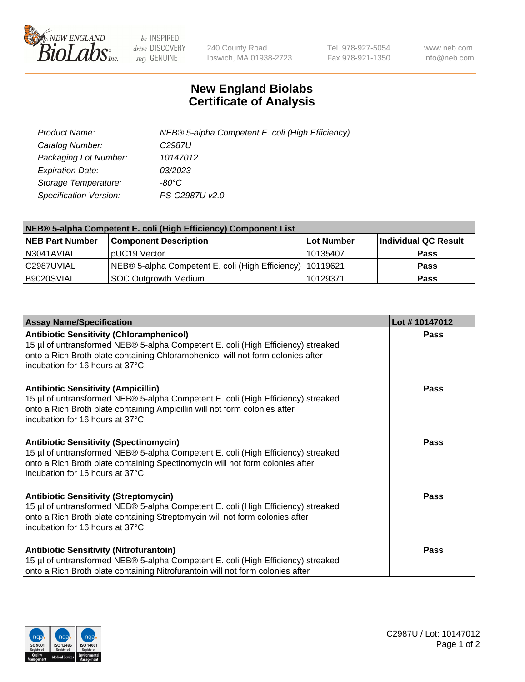

 $be$  INSPIRED drive DISCOVERY stay GENUINE

240 County Road Ipswich, MA 01938-2723 Tel 978-927-5054 Fax 978-921-1350 www.neb.com info@neb.com

## **New England Biolabs Certificate of Analysis**

| Product Name:                 | NEB® 5-alpha Competent E. coli (High Efficiency) |
|-------------------------------|--------------------------------------------------|
| Catalog Number:               | C <sub>2987</sub> U                              |
| Packaging Lot Number:         | 10147012                                         |
| <b>Expiration Date:</b>       | 03/2023                                          |
| Storage Temperature:          | -80°C                                            |
| <b>Specification Version:</b> | PS-C2987U v2.0                                   |

| NEB® 5-alpha Competent E. coli (High Efficiency) Component List |                                                             |            |                      |  |
|-----------------------------------------------------------------|-------------------------------------------------------------|------------|----------------------|--|
| <b>NEB Part Number</b>                                          | <b>Component Description</b>                                | Lot Number | Individual QC Result |  |
| N3041AVIAL                                                      | pUC19 Vector                                                | 10135407   | <b>Pass</b>          |  |
| C2987UVIAL                                                      | NEB® 5-alpha Competent E. coli (High Efficiency)   10119621 |            | <b>Pass</b>          |  |
| B9020SVIAL                                                      | SOC Outgrowth Medium                                        | 10129371   | <b>Pass</b>          |  |

| <b>Assay Name/Specification</b>                                                                                                                                                                                                                            | Lot #10147012 |
|------------------------------------------------------------------------------------------------------------------------------------------------------------------------------------------------------------------------------------------------------------|---------------|
| <b>Antibiotic Sensitivity (Chloramphenicol)</b><br>15 µl of untransformed NEB® 5-alpha Competent E. coli (High Efficiency) streaked<br>onto a Rich Broth plate containing Chloramphenicol will not form colonies after<br>incubation for 16 hours at 37°C. | Pass          |
| <b>Antibiotic Sensitivity (Ampicillin)</b><br>15 µl of untransformed NEB® 5-alpha Competent E. coli (High Efficiency) streaked<br>onto a Rich Broth plate containing Ampicillin will not form colonies after<br>incubation for 16 hours at 37°C.           | Pass          |
| <b>Antibiotic Sensitivity (Spectinomycin)</b><br>15 µl of untransformed NEB® 5-alpha Competent E. coli (High Efficiency) streaked<br>onto a Rich Broth plate containing Spectinomycin will not form colonies after<br>Incubation for 16 hours at 37°C.     | Pass          |
| <b>Antibiotic Sensitivity (Streptomycin)</b><br>15 µl of untransformed NEB® 5-alpha Competent E. coli (High Efficiency) streaked<br>onto a Rich Broth plate containing Streptomycin will not form colonies after<br>incubation for 16 hours at 37°C.       | Pass          |
| <b>Antibiotic Sensitivity (Nitrofurantoin)</b><br>15 µl of untransformed NEB® 5-alpha Competent E. coli (High Efficiency) streaked<br>onto a Rich Broth plate containing Nitrofurantoin will not form colonies after                                       | Pass          |